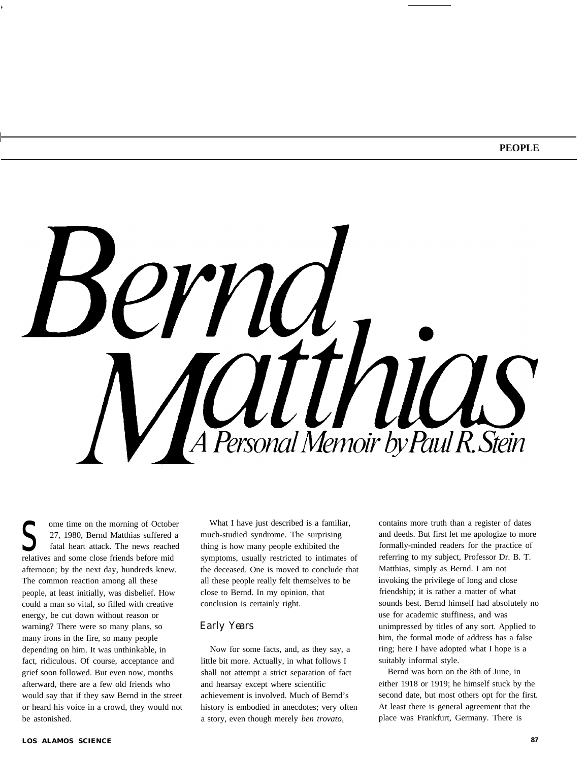

27, 1980, Bernd Matthias suffered<br>
fatal heart attack. The news reache<br>
relatives and some close friends before mid ome time on the morning of October 27, 1980, Bernd Matthias suffered a fatal heart attack. The news reached afternoon; by the next day, hundreds knew. The common reaction among all these people, at least initially, was disbelief. How could a man so vital, so filled with creative energy, be cut down without reason or warning? There were so many plans, so many irons in the fire, so many people depending on him. It was unthinkable, in fact, ridiculous. Of course, acceptance and grief soon followed. But even now, months afterward, there are a few old friends who would say that if they saw Bernd in the street or heard his voice in a crowd, they would not be astonished.

What I have just described is a familiar, much-studied syndrome. The surprising thing is how many people exhibited the symptoms, usually restricted to intimates of the deceased. One is moved to conclude that all these people really felt themselves to be close to Bernd. In my opinion, that conclusion is certainly right.

#### *Early Years*

Now for some facts, and, as they say, a little bit more. Actually, in what follows I shall not attempt a strict separation of fact and hearsay except where scientific achievement is involved. Much of Bernd's history is embodied in anecdotes; very often a story, even though merely *ben trovato,*

contains more truth than a register of dates and deeds. But first let me apologize to more formally-minded readers for the practice of referring to my subject, Professor Dr. B. T. Matthias, simply as Bernd. I am not invoking the privilege of long and close friendship; it is rather a matter of what sounds best. Bernd himself had absolutely no use for academic stuffiness, and was unimpressed by titles of any sort. Applied to him, the formal mode of address has a false ring; here I have adopted what I hope is a suitably informal style.

Bernd was born on the 8th of June, in either 1918 or 1919; he himself stuck by the second date, but most others opt for the first. At least there is general agreement that the place was Frankfurt, Germany. There is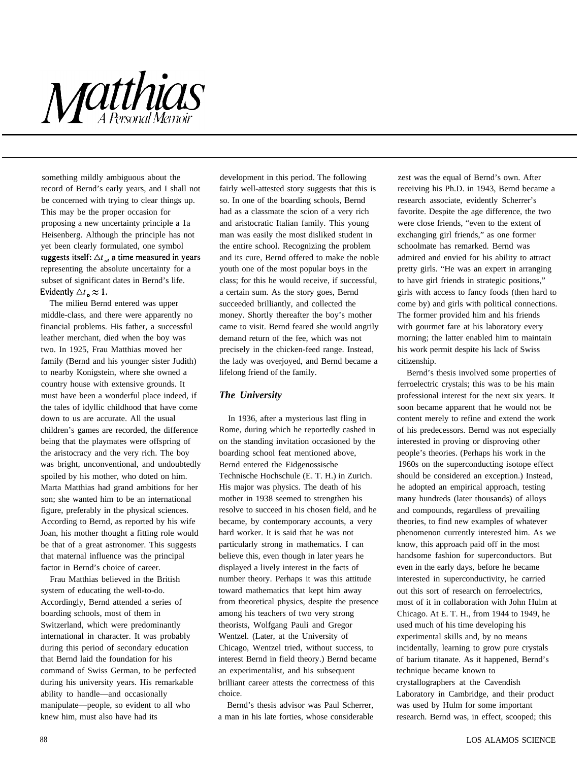## Matthias

something mildly ambiguous about the record of Bernd's early years, and I shall not be concerned with trying to clear things up. This may be the proper occasion for proposing a new uncertainty principle a 1a Heisenberg. Although the principle has not yet been clearly formulated, one symbol suggests itself:  $\Delta t_{\rm m}$  a time measured in years representing the absolute uncertainty for a subset of significant dates in Bernd's life. Evidently  $\Delta t \approx 1$ .

The milieu Bernd entered was upper middle-class, and there were apparently no financial problems. His father, a successful leather merchant, died when the boy was two. In 1925, Frau Matthias moved her family (Bernd and his younger sister Judith) to nearby Konigstein, where she owned a country house with extensive grounds. It must have been a wonderful place indeed, if the tales of idyllic childhood that have come down to us are accurate. All the usual children's games are recorded, the difference being that the playmates were offspring of the aristocracy and the very rich. The boy was bright, unconventional, and undoubtedly spoiled by his mother, who doted on him. Marta Matthias had grand ambitions for her son; she wanted him to be an international figure, preferably in the physical sciences. According to Bernd, as reported by his wife Joan, his mother thought a fitting role would be that of a great astronomer. This suggests that maternal influence was the principal factor in Bernd's choice of career.

Frau Matthias believed in the British system of educating the well-to-do. Accordingly, Bernd attended a series of boarding schools, most of them in Switzerland, which were predominantly international in character. It was probably during this period of secondary education that Bernd laid the foundation for his command of Swiss German, to be perfected during his university years. His remarkable ability to handle—and occasionally manipulate—people, so evident to all who knew him, must also have had its

development in this period. The following fairly well-attested story suggests that this is so. In one of the boarding schools, Bernd had as a classmate the scion of a very rich and aristocratic Italian family. This young man was easily the most disliked student in the entire school. Recognizing the problem and its cure, Bernd offered to make the noble youth one of the most popular boys in the class; for this he would receive, if successful, a certain sum. As the story goes, Bernd succeeded brilliantly, and collected the money. Shortly thereafter the boy's mother came to visit. Bernd feared she would angrily demand return of the fee, which was not precisely in the chicken-feed range. Instead, the lady was overjoyed, and Bernd became a lifelong friend of the family.

## *The University*

In 1936, after a mysterious last fling in Rome, during which he reportedly cashed in on the standing invitation occasioned by the boarding school feat mentioned above, Bernd entered the Eidgenossische Technische Hochschule (E. T. H.) in Zurich. His major was physics. The death of his mother in 1938 seemed to strengthen his resolve to succeed in his chosen field, and he became, by contemporary accounts, a very hard worker. It is said that he was not particularly strong in mathematics. I can believe this, even though in later years he displayed a lively interest in the facts of number theory. Perhaps it was this attitude toward mathematics that kept him away from theoretical physics, despite the presence among his teachers of two very strong theorists, Wolfgang Pauli and Gregor Wentzel. (Later, at the University of Chicago, Wentzel tried, without success, to interest Bernd in field theory.) Bernd became an experimentalist, and his subsequent brilliant career attests the correctness of this choice.

Bernd's thesis advisor was Paul Scherrer, a man in his late forties, whose considerable zest was the equal of Bernd's own. After receiving his Ph.D. in 1943, Bernd became a research associate, evidently Scherrer's favorite. Despite the age difference, the two were close friends, "even to the extent of exchanging girl friends," as one former schoolmate has remarked. Bernd was admired and envied for his ability to attract pretty girls. "He was an expert in arranging to have girl friends in strategic positions," girls with access to fancy foods (then hard to come by) and girls with political connections. The former provided him and his friends with gourmet fare at his laboratory every morning; the latter enabled him to maintain his work permit despite his lack of Swiss citizenship.

Bernd's thesis involved some properties of ferroelectric crystals; this was to be his main professional interest for the next six years. It soon became apparent that he would not be content merely to refine and extend the work of his predecessors. Bernd was not especially interested in proving or disproving other people's theories. (Perhaps his work in the 1960s on the superconducting isotope effect should be considered an exception.) Instead, he adopted an empirical approach, testing many hundreds (later thousands) of alloys and compounds, regardless of prevailing theories, to find new examples of whatever phenomenon currently interested him. As we know, this approach paid off in the most handsome fashion for superconductors. But even in the early days, before he became interested in superconductivity, he carried out this sort of research on ferroelectrics, most of it in collaboration with John Hulm at Chicago. At E. T. H., from 1944 to 1949, he used much of his time developing his experimental skills and, by no means incidentally, learning to grow pure crystals of barium titanate. As it happened, Bernd's technique became known to crystallographers at the Cavendish Laboratory in Cambridge, and their product was used by Hulm for some important research. Bernd was, in effect, scooped; this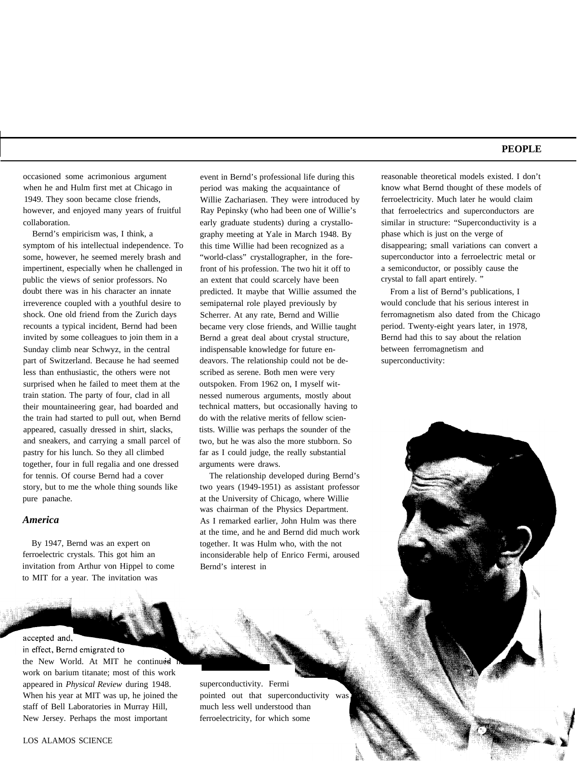occasioned some acrimonious argument when he and Hulm first met at Chicago in 1949. They soon became close friends, however, and enjoyed many years of fruitful collaboration.

Bernd's empiricism was, I think, a symptom of his intellectual independence. To some, however, he seemed merely brash and impertinent, especially when he challenged in public the views of senior professors. No doubt there was in his character an innate irreverence coupled with a youthful desire to shock. One old friend from the Zurich days recounts a typical incident, Bernd had been invited by some colleagues to join them in a Sunday climb near Schwyz, in the central part of Switzerland. Because he had seemed less than enthusiastic, the others were not surprised when he failed to meet them at the train station. The party of four, clad in all their mountaineering gear, had boarded and the train had started to pull out, when Bernd appeared, casually dressed in shirt, slacks, and sneakers, and carrying a small parcel of pastry for his lunch. So they all climbed together, four in full regalia and one dressed for tennis. Of course Bernd had a cover story, but to me the whole thing sounds like pure panache.

#### *America*

By 1947, Bernd was an expert on ferroelectric crystals. This got him an invitation from Arthur von Hippel to come to MIT for a year. The invitation was

accepted and,

in effect, Bernd emigrated to the New World. At MIT he continued work on barium titanate; most of this work appeared in *Physical Review* during 1948. superconductivity. Fermi When his year at MIT was up, he joined the pointed out that superconductivity was staff of Bell Laboratories in Murray Hill, much less well understood than New Jersey. Perhaps the most important ferroelectricity, for which some

event in Bernd's professional life during this period was making the acquaintance of Willie Zachariasen. They were introduced by Ray Pepinsky (who had been one of Willie's early graduate students) during a crystallography meeting at Yale in March 1948. By this time Willie had been recognized as a "world-class" crystallographer, in the forefront of his profession. The two hit it off to an extent that could scarcely have been predicted. It maybe that Willie assumed the semipaternal role played previously by Scherrer. At any rate, Bernd and Willie became very close friends, and Willie taught Bernd a great deal about crystal structure, indispensable knowledge for future endeavors. The relationship could not be described as serene. Both men were very outspoken. From 1962 on, I myself witnessed numerous arguments, mostly about technical matters, but occasionally having to do with the relative merits of fellow scientists. Willie was perhaps the sounder of the two, but he was also the more stubborn. So far as I could judge, the really substantial arguments were draws.

The relationship developed during Bernd's two years (1949-1951) as assistant professor at the University of Chicago, where Willie was chairman of the Physics Department. As I remarked earlier, John Hulm was there at the time, and he and Bernd did much work together. It was Hulm who, with the not inconsiderable help of Enrico Fermi, aroused Bernd's interest in

reasonable theoretical models existed. I don't know what Bernd thought of these models of ferroelectricity. Much later he would claim that ferroelectrics and superconductors are similar in structure: "Superconductivity is a phase which is just on the verge of disappearing; small variations can convert a superconductor into a ferroelectric metal or a semiconductor, or possibly cause the crystal to fall apart entirely. "

From a list of Bernd's publications, I would conclude that his serious interest in ferromagnetism also dated from the Chicago period. Twenty-eight years later, in 1978, Bernd had this to say about the relation between ferromagnetism and superconductivity: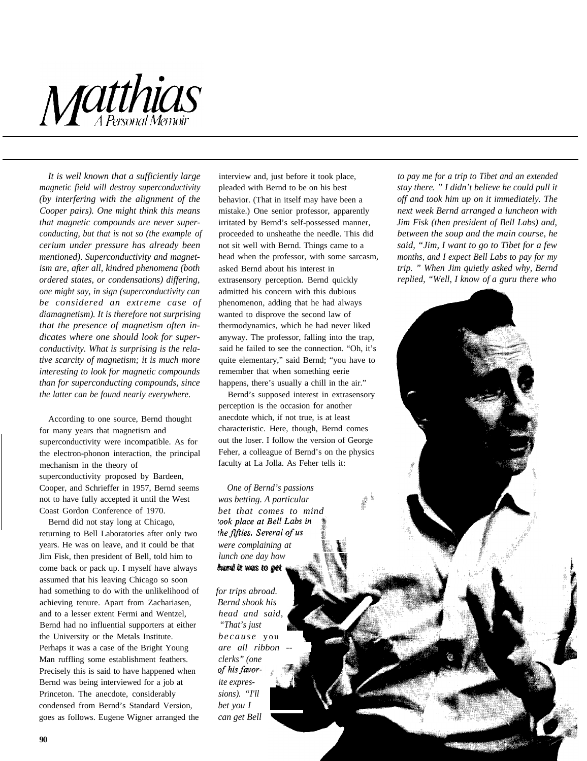

*It is well known that a sufficiently large magnetic field will destroy superconductivity (by interfering with the alignment of the Cooper pairs). One might think this means that magnetic compounds are never superconducting, but that is not so (the example of cerium under pressure has already been mentioned). Superconductivity and magnetism are, after all, kindred phenomena (both ordered states, or condensations) differing, one might say, in sign (superconductivity can be considered an extreme case of diamagnetism). It is therefore not surprising that the presence of magnetism often indicates where one should look for superconductivity. What is surprising is the relative scarcity of magnetism; it is much more interesting to look for magnetic compounds than for superconducting compounds, since the latter can be found nearly everywhere.*

According to one source, Bernd thought for many years that magnetism and superconductivity were incompatible. As for the electron-phonon interaction, the principal mechanism in the theory of superconductivity proposed by Bardeen, Cooper, and Schrieffer in 1957, Bernd seems not to have fully accepted it until the West Coast Gordon Conference of 1970.

Bernd did not stay long at Chicago, returning to Bell Laboratories after only two years. He was on leave, and it could be that Jim Fisk, then president of Bell, told him to come back or pack up. I myself have always assumed that his leaving Chicago so soon had something to do with the unlikelihood of achieving tenure. Apart from Zachariasen, and to a lesser extent Fermi and Wentzel, Bernd had no influential supporters at either the University or the Metals Institute. Perhaps it was a case of the Bright Young Man ruffling some establishment feathers. Precisely this is said to have happened when Bernd was being interviewed for a job at Princeton. The anecdote, considerably condensed from Bernd's Standard Version, goes as follows. Eugene Wigner arranged the interview and, just before it took place, pleaded with Bernd to be on his best behavior. (That in itself may have been a mistake.) One senior professor, apparently irritated by Bernd's self-possessed manner, proceeded to unsheathe the needle. This did not sit well with Bernd. Things came to a head when the professor, with some sarcasm, asked Bernd about his interest in extrasensory perception. Bernd quickly admitted his concern with this dubious phenomenon, adding that he had always wanted to disprove the second law of thermodynamics, which he had never liked anyway. The professor, falling into the trap, said he failed to see the connection. "Oh, it's quite elementary," said Bernd; "you have to remember that when something eerie happens, there's usually a chill in the air."

Bernd's supposed interest in extrasensory perception is the occasion for another anecdote which, if not true, is at least characteristic. Here, though, Bernd comes out the loser. I follow the version of George Feher, a colleague of Bernd's on the physics faculty at La Jolla. As Feher tells it:

*One of Bernd's passions was betting. A particular bet that comes to mind* took place at Bell Labs in the fifties. Several of us *were complaining at lunch one day how hard it was to get*

*for trips abroad.*  $Bend$  *shook his head and said, "That's just because* you *are all ribbon - clerks" (one* of his favor*ite expres- i sions). "I'll bet you I can get Bell*

*to pay me for a trip to Tibet and an extended stay there. " I didn't believe he could pull it off and took him up on it immediately. The next week Bernd arranged a luncheon with Jim Fisk (then president of Bell Labs) and, between the soup and the main course, he said, "Jim, I want to go to Tibet for a few months, and I expect Bell Labs to pay for my trip. " When Jim quietly asked why, Bernd replied, "Well, I know of a guru there who*

i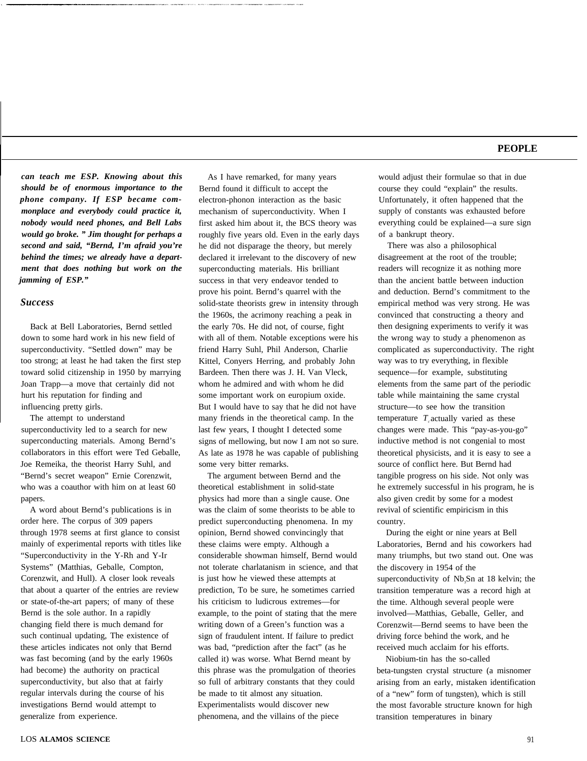*can teach me ESP. Knowing about this should be of enormous importance to the phone company. If ESP became commonplace and everybody could practice it, nobody would need phones, and Bell Labs would go broke. " Jim thought for perhaps a second and said, "Bernd, I'm afraid you're behind the times; we already have a department that does nothing but work on the jamming of ESP."*

#### *Success*

Back at Bell Laboratories, Bernd settled down to some hard work in his new field of superconductivity. "Settled down" may be too strong; at least he had taken the first step toward solid citizenship in 1950 by marrying Joan Trapp—a move that certainly did not hurt his reputation for finding and influencing pretty girls.

The attempt to understand superconductivity led to a search for new superconducting materials. Among Bernd's collaborators in this effort were Ted Geballe, Joe Remeika, the theorist Harry Suhl, and "Bernd's secret weapon" Ernie Corenzwit, who was a coauthor with him on at least 60 papers.

A word about Bernd's publications is in order here. The corpus of 309 papers through 1978 seems at first glance to consist mainly of experimental reports with titles like "Superconductivity in the Y-Rh and Y-Ir Systems" (Matthias, Geballe, Compton, Corenzwit, and Hull). A closer look reveals that about a quarter of the entries are review or state-of-the-art papers; of many of these Bernd is the sole author. In a rapidly changing field there is much demand for such continual updating, The existence of these articles indicates not only that Bernd was fast becoming (and by the early 1960s had become) the authority on practical superconductivity, but also that at fairly regular intervals during the course of his investigations Bernd would attempt to generalize from experience.

As I have remarked, for many years Bernd found it difficult to accept the electron-phonon interaction as the basic mechanism of superconductivity. When I first asked him about it, the BCS theory was roughly five years old. Even in the early days he did not disparage the theory, but merely declared it irrelevant to the discovery of new superconducting materials. His brilliant success in that very endeavor tended to prove his point. Bernd's quarrel with the solid-state theorists grew in intensity through the 1960s, the acrimony reaching a peak in the early 70s. He did not, of course, fight with all of them. Notable exceptions were his friend Harry Suhl, Phil Anderson, Charlie Kittel, Conyers Herring, and probably John Bardeen. Then there was J. H. Van Vleck, whom he admired and with whom he did some important work on europium oxide. But I would have to say that he did not have many friends in the theoretical camp. In the last few years, I thought I detected some signs of mellowing, but now I am not so sure. As late as 1978 he was capable of publishing some very bitter remarks.

The argument between Bernd and the theoretical establishment in solid-state physics had more than a single cause. One was the claim of some theorists to be able to predict superconducting phenomena. In my opinion, Bernd showed convincingly that these claims were empty. Although a considerable showman himself, Bernd would not tolerate charlatanism in science, and that is just how he viewed these attempts at prediction, To be sure, he sometimes carried his criticism to ludicrous extremes—for example, to the point of stating that the mere writing down of a Green's function was a sign of fraudulent intent. If failure to predict was bad, "prediction after the fact" (as he called it) was worse. What Bernd meant by this phrase was the promulgation of theories so full of arbitrary constants that they could be made to tit almost any situation. Experimentalists would discover new phenomena, and the villains of the piece

would adjust their formulae so that in due course they could "explain" the results. Unfortunately, it often happened that the supply of constants was exhausted before everything could be explained—a sure sign of a bankrupt theory.

There was also a philosophical disagreement at the root of the trouble; readers will recognize it as nothing more than the ancient battle between induction and deduction. Bernd's commitment to the empirical method was very strong. He was convinced that constructing a theory and then designing experiments to verify it was the wrong way to study a phenomenon as complicated as superconductivity. The right way was to try everything, in flexible sequence—for example, substituting elements from the same part of the periodic table while maintaining the same crystal structure—to see how the transition temperature  $T_{\alpha}$  actually varied as these changes were made. This "pay-as-you-go" inductive method is not congenial to most theoretical physicists, and it is easy to see a source of conflict here. But Bernd had tangible progress on his side. Not only was he extremely successful in his program, he is also given credit by some for a modest revival of scientific empiricism in this country.

During the eight or nine years at Bell Laboratories, Bernd and his coworkers had many triumphs, but two stand out. One was the discovery in 1954 of the superconductivity of Nb<sub>3</sub>Sn at 18 kelvin; the transition temperature was a record high at the time. Although several people were involved—Matthias, Geballe, Geller, and Corenzwit—Bernd seems to have been the driving force behind the work, and he received much acclaim for his efforts.

Niobium-tin has the so-called beta-tungsten crystal structure (a misnomer arising from an early, mistaken identification of a "new" form of tungsten), which is still the most favorable structure known for high transition temperatures in binary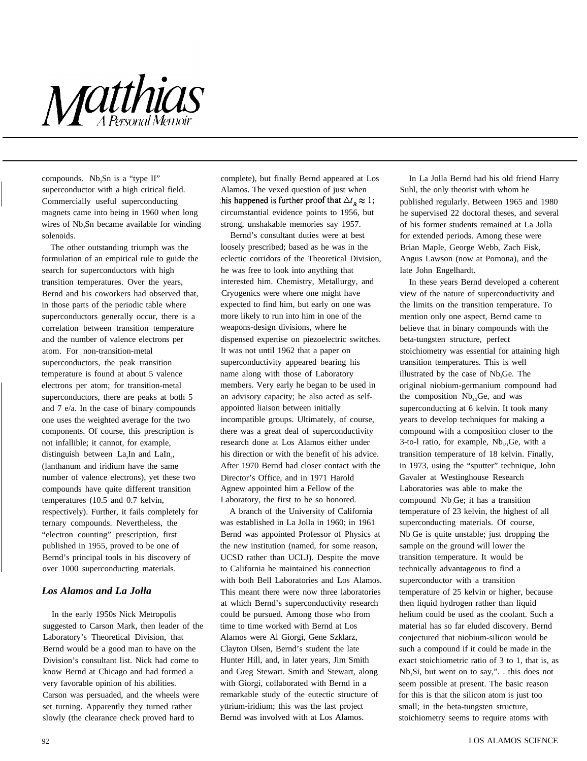

compounds. Nb<sub>3</sub>Sn is a "type II" superconductor with a high critical field. Commercially useful superconducting magnets came into being in 1960 when long wires of Nb<sub>3</sub>Sn became available for winding solenoids.

The other outstanding triumph was the formulation of an empirical rule to guide the search for superconductors with high transition temperatures. Over the years, Bernd and his coworkers had observed that, in those parts of the periodic table where superconductors generally occur, there is a correlation between transition temperature and the number of valence electrons per atom. For non-transition-metal superconductors, the peak transition temperature is found at about 5 valence electrons per atom; for transition-metal superconductors, there are peaks at both 5 and 7 e/a. In the case of binary compounds one uses the weighted average for the two components. Of course, this prescription is not infallible; it cannot, for example, distinguish between  $La<sub>3</sub>In$  and  $LaIn<sub>3</sub>$ , (lanthanum and iridium have the same number of valence electrons), yet these two compounds have quite different transition temperatures (10.5 and 0.7 kelvin, respectively). Further, it fails completely for ternary compounds. Nevertheless, the "electron counting" prescription, first published in 1955, proved to be one of Bernd's principal tools in his discovery of over 1000 superconducting materials.

## *Los Alamos and La Jolla*

In the early 1950s Nick Metropolis suggested to Carson Mark, then leader of the Laboratory's Theoretical Division, that Bernd would be a good man to have on the Division's consultant list. Nick had come to know Bernd at Chicago and had formed a very favorable opinion of his abilities. Carson was persuaded, and the wheels were set turning. Apparently they turned rather slowly (the clearance check proved hard to

complete), but finally Bernd appeared at Los Alamos. The vexed question of just when his happened is further proof that  $\Delta t_{R} \approx 1$ ; circumstantial evidence points to 1956, but strong, unshakable memories say 1957.

Bernd's consultant duties were at best loosely prescribed; based as he was in the eclectic corridors of the Theoretical Division, he was free to look into anything that interested him. Chemistry, Metallurgy, and Cryogenics were where one might have expected to find him, but early on one was more likely to run into him in one of the weapons-design divisions, where he dispensed expertise on piezoelectric switches. It was not until 1962 that a paper on superconductivity appeared bearing his name along with those of Laboratory members. Very early he began to be used in an advisory capacity; he also acted as selfappointed liaison between initially incompatible groups. Ultimately, of course, there was a great deal of superconductivity research done at Los Alamos either under his direction or with the benefit of his advice. After 1970 Bernd had closer contact with the Director's Office, and in 1971 Harold Agnew appointed him a Fellow of the Laboratory, the first to be so honored.

A branch of the University of California was established in La Jolla in 1960; in 1961 Bernd was appointed Professor of Physics at the new institution (named, for some reason, UCSD rather than UCLJ). Despite the move to California he maintained his connection with both Bell Laboratories and Los Alamos. This meant there were now three laboratories at which Bernd's superconductivity research could be pursued. Among those who from time to time worked with Bernd at Los Alamos were Al Giorgi, Gene Szklarz, Clayton Olsen, Bernd's student the late Hunter Hill, and, in later years, Jim Smith and Greg Stewart. Smith and Stewart, along with Giorgi, collaborated with Bernd in a remarkable study of the eutectic structure of yttrium-iridium; this was the last project Bernd was involved with at Los Alamos.

In La Jolla Bernd had his old friend Harry Suhl, the only theorist with whom he published regularly. Between 1965 and 1980 he supervised 22 doctoral theses, and several of his former students remained at La Jolla for extended periods. Among these were Brian Maple, George Webb, Zach Fisk, Angus Lawson (now at Pomona), and the late John Engelhardt.

In these years Bernd developed a coherent view of the nature of superconductivity and the limits on the transition temperature. To mention only one aspect, Bernd came to believe that in binary compounds with the beta-tungsten structure, perfect stoichiometry was essential for attaining high transition temperatures. This is well illustrated by the case of Nb<sub>3</sub>Ge. The original niobium-germanium compound had the composition  $Nb<sub>33</sub>Ge$ , and was superconducting at 6 kelvin. It took many years to develop techniques for making a compound with a composition closer to the 3-to-1 ratio, for example,  $Nb_{3-1}Ge$ , with a transition temperature of 18 kelvin. Finally, in 1973, using the "sputter" technique, John Gavaler at Westinghouse Research Laboratories was able to make the compound Nb<sub>3</sub>Ge; it has a transition temperature of 23 kelvin, the highest of all superconducting materials. Of course, Nb3Ge is quite unstable; just dropping the sample on the ground will lower the transition temperature. It would be technically advantageous to find a superconductor with a transition temperature of 25 kelvin or higher, because then liquid hydrogen rather than liquid helium could be used as the coolant. Such a material has so far eluded discovery. Bernd conjectured that niobium-silicon would be such a compound if it could be made in the exact stoichiometric ratio of 3 to 1, that is, as Nb<sub>3</sub>Si, but went on to say,"... this does not seem possible at present. The basic reason for this is that the silicon atom is just too small; in the beta-tungsten structure, stoichiometry seems to require atoms with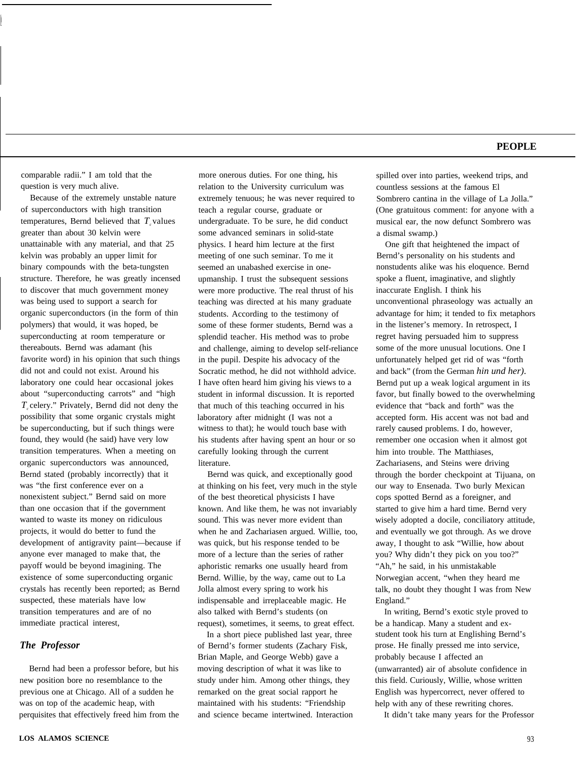comparable radii." I am told that the question is very much alive.

Because of the extremely unstable nature of superconductors with high transition temperatures, Bernd believed that  $T_c$  values greater than about 30 kelvin were unattainable with any material, and that 25 kelvin was probably an upper limit for binary compounds with the beta-tungsten structure. Therefore, he was greatly incensed to discover that much government money was being used to support a search for organic superconductors (in the form of thin polymers) that would, it was hoped, be superconducting at room temperature or thereabouts. Bernd was adamant (his favorite word) in his opinion that such things did not and could not exist. Around his laboratory one could hear occasional jokes about "superconducting carrots" and "high *Tc* celery." Privately, Bernd did not deny the possibility that some organic crystals might be superconducting, but if such things were found, they would (he said) have very low transition temperatures. When a meeting on organic superconductors was announced, Bernd stated (probably incorrectly) that it was "the first conference ever on a nonexistent subject." Bernd said on more than one occasion that if the government wanted to waste its money on ridiculous projects, it would do better to fund the development of antigravity paint—because if anyone ever managed to make that, the payoff would be beyond imagining. The existence of some superconducting organic crystals has recently been reported; as Bernd suspected, these materials have low transition temperatures and are of no immediate practical interest,

#### *The Professor*

Bernd had been a professor before, but his new position bore no resemblance to the previous one at Chicago. All of a sudden he was on top of the academic heap, with perquisites that effectively freed him from the

more onerous duties. For one thing, his relation to the University curriculum was extremely tenuous; he was never required to teach a regular course, graduate or undergraduate. To be sure, he did conduct some advanced seminars in solid-state physics. I heard him lecture at the first meeting of one such seminar. To me it seemed an unabashed exercise in oneupmanship. I trust the subsequent sessions were more productive. The real thrust of his teaching was directed at his many graduate students. According to the testimony of some of these former students, Bernd was a splendid teacher. His method was to probe and challenge, aiming to develop self-reliance in the pupil. Despite his advocacy of the Socratic method, he did not withhold advice. I have often heard him giving his views to a student in informal discussion. It is reported that much of this teaching occurred in his laboratory after midnight (I was not a witness to that); he would touch base with his students after having spent an hour or so carefully looking through the current literature.

Bernd was quick, and exceptionally good at thinking on his feet, very much in the style of the best theoretical physicists I have known. And like them, he was not invariably sound. This was never more evident than when he and Zachariasen argued. Willie, too, was quick, but his response tended to be more of a lecture than the series of rather aphoristic remarks one usually heard from Bernd. Willie, by the way, came out to La Jolla almost every spring to work his indispensable and irreplaceable magic. He also talked with Bernd's students (on request), sometimes, it seems, to great effect.

In a short piece published last year, three of Bernd's former students (Zachary Fisk, Brian Maple, and George Webb) gave a moving description of what it was like to study under him. Among other things, they remarked on the great social rapport he maintained with his students: "Friendship and science became intertwined. Interaction spilled over into parties, weekend trips, and countless sessions at the famous El Sombrero cantina in the village of La Jolla." (One gratuitous comment: for anyone with a musical ear, the now defunct Sombrero was a dismal swamp.)

One gift that heightened the impact of Bernd's personality on his students and nonstudents alike was his eloquence. Bernd spoke a fluent, imaginative, and slightly inaccurate English. I think his unconventional phraseology was actually an advantage for him; it tended to fix metaphors in the listener's memory. In retrospect, I regret having persuaded him to suppress some of the more unusual locutions. One I unfortunately helped get rid of was "forth and back" (from the German *hin und her).* Bernd put up a weak logical argument in its favor, but finally bowed to the overwhelming evidence that "back and forth" was the accepted form. His accent was not bad and rarely caused problems. I do, however, remember one occasion when it almost got him into trouble. The Matthiases, Zachariasens, and Steins were driving through the border checkpoint at Tijuana, on our way to Ensenada. Two burly Mexican cops spotted Bernd as a foreigner, and started to give him a hard time. Bernd very wisely adopted a docile, conciliatory attitude, and eventually we got through. As we drove away, I thought to ask "Willie, how about you? Why didn't they pick on you too?" "Ah," he said, in his unmistakable Norwegian accent, "when they heard me talk, no doubt they thought I was from New England."

In writing, Bernd's exotic style proved to be a handicap. Many a student and exstudent took his turn at Englishing Bernd's prose. He finally pressed me into service, probably because I affected an (unwarranted) air of absolute confidence in this field. Curiously, Willie, whose written English was hypercorrect, never offered to help with any of these rewriting chores.

It didn't take many years for the Professor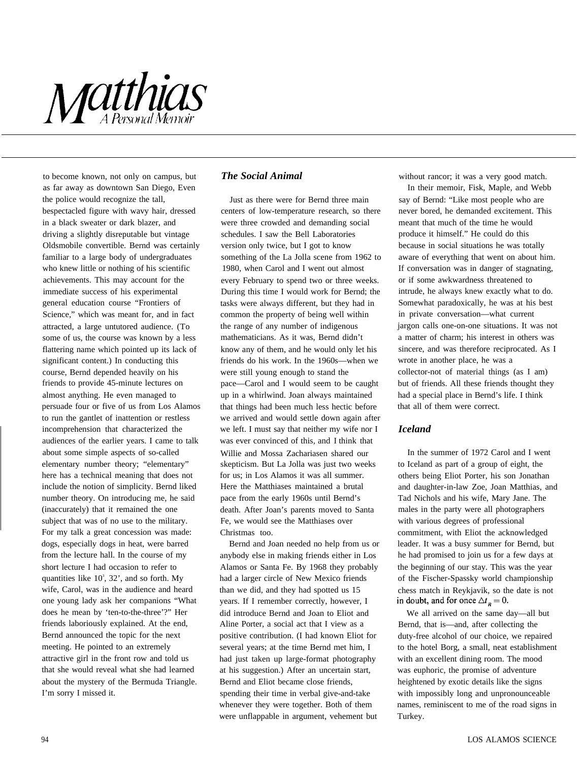# Matthias

to become known, not only on campus, but as far away as downtown San Diego, Even the police would recognize the tall, bespectacled figure with wavy hair, dressed in a black sweater or dark blazer, and driving a slightly disreputable but vintage Oldsmobile convertible. Bernd was certainly familiar to a large body of undergraduates who knew little or nothing of his scientific achievements. This may account for the immediate success of his experimental general education course "Frontiers of Science," which was meant for, and in fact attracted, a large untutored audience. (To some of us, the course was known by a less flattering name which pointed up its lack of significant content.) In conducting this course, Bernd depended heavily on his friends to provide 45-minute lectures on almost anything. He even managed to persuade four or five of us from Los Alamos to run the gantlet of inattention or restless incomprehension that characterized the audiences of the earlier years. I came to talk about some simple aspects of so-called elementary number theory; "elementary" here has a technical meaning that does not include the notion of simplicity. Bernd liked number theory. On introducing me, he said (inaccurately) that it remained the one subject that was of no use to the military. For my talk a great concession was made: dogs, especially dogs in heat, were barred from the lecture hall. In the course of my short lecture I had occasion to refer to quantities like  $10^3$ ,  $32'$ , and so forth. My wife, Carol, was in the audience and heard one young lady ask her companions "What does he mean by 'ten-to-the-three'?" Her friends laboriously explained. At the end, Bernd announced the topic for the next meeting. He pointed to an extremely attractive girl in the front row and told us that she would reveal what she had learned about the mystery of the Bermuda Triangle. I'm sorry I missed it.

## *The Social Animal*

Just as there were for Bernd three main centers of low-temperature research, so there were three crowded and demanding social schedules. I saw the Bell Laboratories version only twice, but I got to know something of the La Jolla scene from 1962 to 1980, when Carol and I went out almost every February to spend two or three weeks. During this time I would work for Bernd; the tasks were always different, but they had in common the property of being well within the range of any number of indigenous mathematicians. As it was, Bernd didn't know any of them, and he would only let his friends do his work. In the 1960s—when we were still young enough to stand the pace—Carol and I would seem to be caught up in a whirlwind. Joan always maintained that things had been much less hectic before we arrived and would settle down again after we left. I must say that neither my wife nor I was ever convinced of this, and I think that Willie and Mossa Zachariasen shared our skepticism. But La Jolla was just two weeks for us; in Los Alamos it was all summer. Here the Matthiases maintained a brutal pace from the early 1960s until Bernd's death. After Joan's parents moved to Santa Fe, we would see the Matthiases over Christmas too.

Bernd and Joan needed no help from us or anybody else in making friends either in Los Alamos or Santa Fe. By 1968 they probably had a larger circle of New Mexico friends than we did, and they had spotted us 15 years. If I remember correctly, however, I did introduce Bernd and Joan to Eliot and Aline Porter, a social act that I view as a positive contribution. (I had known Eliot for several years; at the time Bernd met him, I had just taken up large-format photography at his suggestion.) After an uncertain start, Bernd and Eliot became close friends, spending their time in verbal give-and-take whenever they were together. Both of them were unflappable in argument, vehement but

without rancor; it was a very good match.

In their memoir, Fisk, Maple, and Webb say of Bernd: "Like most people who are never bored, he demanded excitement. This meant that much of the time he would produce it himself." He could do this because in social situations he was totally aware of everything that went on about him. If conversation was in danger of stagnating, or if some awkwardness threatened to intrude, he always knew exactly what to do. Somewhat paradoxically, he was at his best in private conversation—what current jargon calls one-on-one situations. It was not a matter of charm; his interest in others was sincere, and was therefore reciprocated. As I wrote in another place, he was a collector-not of material things (as I am) but of friends. All these friends thought they had a special place in Bernd's life. I think that all of them were correct.

## *Iceland*

In the summer of 1972 Carol and I went to Iceland as part of a group of eight, the others being Eliot Porter, his son Jonathan and daughter-in-law Zoe, Joan Matthias, and Tad Nichols and his wife, Mary Jane. The males in the party were all photographers with various degrees of professional commitment, with Eliot the acknowledged leader. It was a busy summer for Bernd, but he had promised to join us for a few days at the beginning of our stay. This was the year of the Fischer-Spassky world championship chess match in Reykjavik, so the date is not in doubt, and for once  $\Delta t_p = 0$ .

We all arrived on the same day—all but Bernd, that is—and, after collecting the duty-free alcohol of our choice, we repaired to the hotel Borg, a small, neat establishment with an excellent dining room. The mood was euphoric, the promise of adventure heightened by exotic details like the signs with impossibly long and unpronounceable names, reminiscent to me of the road signs in Turkey.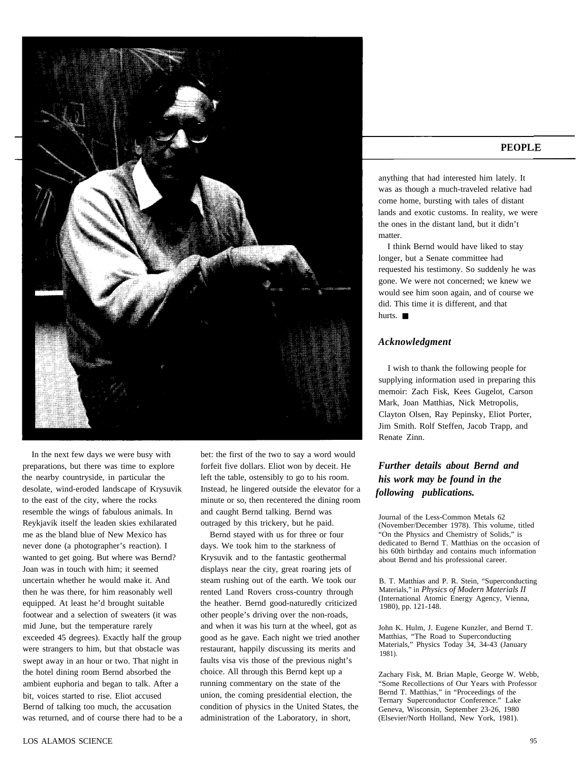

In the next few days we were busy with preparations, but there was time to explore the nearby countryside, in particular the desolate, wind-eroded landscape of Krysuvik to the east of the city, where the rocks resemble the wings of fabulous animals. In Reykjavik itself the leaden skies exhilarated me as the bland blue of New Mexico has never done (a photographer's reaction). I wanted to get going. But where was Bernd? Joan was in touch with him; it seemed uncertain whether he would make it. And then he was there, for him reasonably well equipped. At least he'd brought suitable footwear and a selection of sweaters (it was mid June, but the temperature rarely exceeded 45 degrees). Exactly half the group were strangers to him, but that obstacle was swept away in an hour or two. That night in the hotel dining room Bernd absorbed the ambient euphoria and began to talk. After a bit, voices started to rise. Eliot accused Bernd of talking too much, the accusation was returned, and of course there had to be a bet: the first of the two to say a word would forfeit five dollars. Eliot won by deceit. He left the table, ostensibly to go to his room. Instead, he lingered outside the elevator for a minute or so, then recentered the dining room and caught Bernd talking. Bernd was outraged by this trickery, but he paid.

Bernd stayed with us for three or four days. We took him to the starkness of Krysuvik and to the fantastic geothermal displays near the city, great roaring jets of steam rushing out of the earth. We took our rented Land Rovers cross-country through the heather. Bernd good-naturedly criticized other people's driving over the non-roads, and when it was his turn at the wheel, got as good as he gave. Each night we tried another restaurant, happily discussing its merits and faults visa vis those of the previous night's choice. All through this Bernd kept up a running commentary on the state of the union, the coming presidential election, the condition of physics in the United States, the administration of the Laboratory, in short,

#### **PEOPL**

anything that had interested him lately. It was as though a much-traveled relative had come home, bursting with tales of distant lands and exotic customs. In reality, we were the ones in the distant land, but it didn't matter.

I think Bernd would have liked to stay longer, but a Senate committee had requested his testimony. So suddenly he was gone. We were not concerned; we knew we would see him soon again, and of course we did. This time it is different, and that hurts. ■

#### *Acknowledgment*

I wish to thank the following people for supplying information used in preparing this memoir: Zach Fisk, Kees Gugelot, Carson Mark, Joan Matthias, Nick Metropolis, Clayton Olsen, Ray Pepinsky, Eliot Porter, Jim Smith. Rolf Steffen, Jacob Trapp, and Renate Zinn.

## *Further details about Bernd and his work may be found in the following publications.*

Journal of the Less-Common Metals 62 (November/December 1978). This volume, titled "On the Physics and Chemistry of Solids," is dedicated to Bernd T. Matthias on the occasion of his 60th birthday and contains much information about Bernd and his professional career.

B. T. Matthias and P. R. Stein, "Superconducting Materials," in *Physics of Modern Materials II* (International Atomic Energy Agency, Vienna, 1980), pp. 121-148.

John K. Hulm, J. Eugene Kunzler, and Bernd T. Matthias, "The Road to Superconducting Materials," Physics Today 34, 34-43 (January 1981).

Zachary Fisk, M. Brian Maple, George W. Webb, "Some Recollections of Our Years with Professor Bernd T. Matthias," in "Proceedings of the Ternary Superconductor Conference." Lake Geneva, Wisconsin, September 23-26, 1980 (Elsevier/North Holland, New York, 1981).